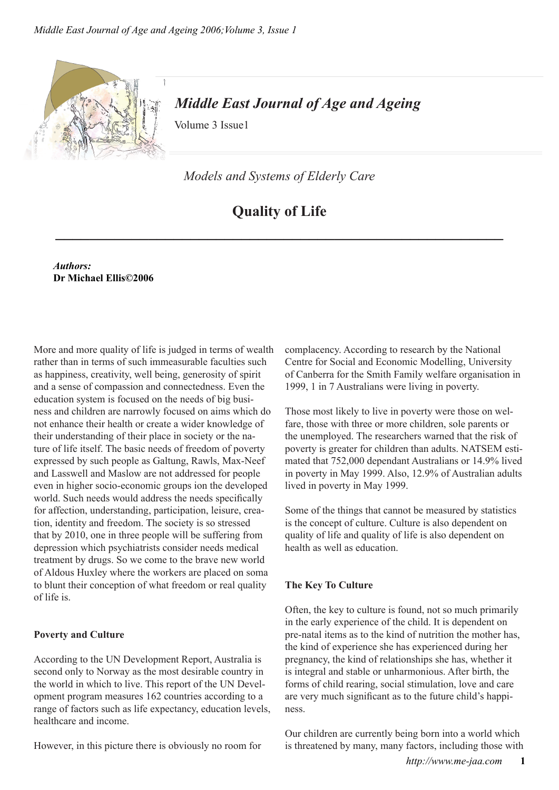

## *Middle East Journal of Age and Ageing*

Volume 3 Issue1

*Models and Systems of Elderly Care*

# **Quality of Life**

**\_\_\_\_\_\_\_\_\_\_\_\_\_\_\_\_\_\_\_\_\_\_\_\_\_\_\_\_\_\_\_\_\_\_\_\_\_\_\_\_\_\_\_\_\_\_\_\_\_\_\_\_\_**

*Authors:* **Dr Michael Ellis©2006**

More and more quality of life is judged in terms of wealth rather than in terms of such immeasurable faculties such as happiness, creativity, well being, generosity of spirit and a sense of compassion and connectedness. Even the education system is focused on the needs of big business and children are narrowly focused on aims which do not enhance their health or create a wider knowledge of their understanding of their place in society or the nature of life itself. The basic needs of freedom of poverty expressed by such people as Galtung, Rawls, Max-Neef and Lasswell and Maslow are not addressed for people even in higher socio-economic groups ion the developed world. Such needs would address the needs specifically for affection, understanding, participation, leisure, creation, identity and freedom. The society is so stressed that by 2010, one in three people will be suffering from depression which psychiatrists consider needs medical treatment by drugs. So we come to the brave new world of Aldous Huxley where the workers are placed on soma to blunt their conception of what freedom or real quality of life is.

#### **Poverty and Culture**

According to the UN Development Report, Australia is second only to Norway as the most desirable country in the world in which to live. This report of the UN Development program measures 162 countries according to a range of factors such as life expectancy, education levels, healthcare and income.

However, in this picture there is obviously no room for

complacency. According to research by the National Centre for Social and Economic Modelling, University of Canberra for the Smith Family welfare organisation in 1999, 1 in 7 Australians were living in poverty.

Those most likely to live in poverty were those on welfare, those with three or more children, sole parents or the unemployed. The researchers warned that the risk of poverty is greater for children than adults. NATSEM estimated that 752,000 dependant Australians or 14.9% lived in poverty in May 1999. Also, 12.9% of Australian adults lived in poverty in May 1999.

Some of the things that cannot be measured by statistics is the concept of culture. Culture is also dependent on quality of life and quality of life is also dependent on health as well as education.

## **The Key To Culture**

Often, the key to culture is found, not so much primarily in the early experience of the child. It is dependent on pre-natal items as to the kind of nutrition the mother has, the kind of experience she has experienced during her pregnancy, the kind of relationships she has, whether it is integral and stable or unharmonious. After birth, the forms of child rearing, social stimulation, love and care are very much significant as to the future child's happiness.

Our children are currently being born into a world which is threatened by many, many factors, including those with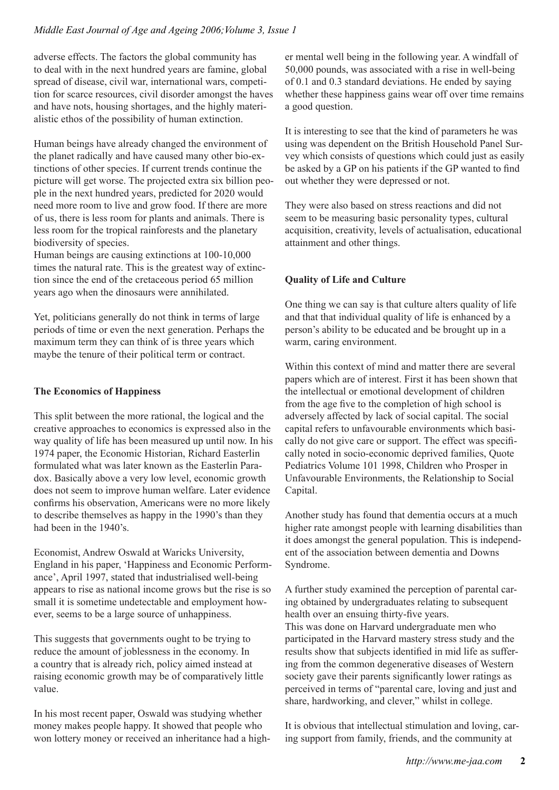adverse effects. The factors the global community has to deal with in the next hundred years are famine, global spread of disease, civil war, international wars, competition for scarce resources, civil disorder amongst the haves and have nots, housing shortages, and the highly materialistic ethos of the possibility of human extinction.

Human beings have already changed the environment of the planet radically and have caused many other bio-extinctions of other species. If current trends continue the picture will get worse. The projected extra six billion people in the next hundred years, predicted for 2020 would need more room to live and grow food. If there are more of us, there is less room for plants and animals. There is less room for the tropical rainforests and the planetary biodiversity of species.

Human beings are causing extinctions at 100-10,000 times the natural rate. This is the greatest way of extinction since the end of the cretaceous period 65 million years ago when the dinosaurs were annihilated.

Yet, politicians generally do not think in terms of large periods of time or even the next generation. Perhaps the maximum term they can think of is three years which maybe the tenure of their political term or contract.

#### **The Economics of Happiness**

This split between the more rational, the logical and the creative approaches to economics is expressed also in the way quality of life has been measured up until now. In his 1974 paper, the Economic Historian, Richard Easterlin formulated what was later known as the Easterlin Paradox. Basically above a very low level, economic growth does not seem to improve human welfare. Later evidence confirms his observation, Americans were no more likely to describe themselves as happy in the 1990's than they had been in the 1940's.

Economist, Andrew Oswald at Waricks University, England in his paper, 'Happiness and Economic Performance', April 1997, stated that industrialised well-being appears to rise as national income grows but the rise is so small it is sometime undetectable and employment however, seems to be a large source of unhappiness.

This suggests that governments ought to be trying to reduce the amount of joblessness in the economy. In a country that is already rich, policy aimed instead at raising economic growth may be of comparatively little value.

In his most recent paper, Oswald was studying whether money makes people happy. It showed that people who won lottery money or received an inheritance had a higher mental well being in the following year. A windfall of 50,000 pounds, was associated with a rise in well-being of 0.1 and 0.3 standard deviations. He ended by saying whether these happiness gains wear off over time remains a good question.

It is interesting to see that the kind of parameters he was using was dependent on the British Household Panel Survey which consists of questions which could just as easily be asked by a GP on his patients if the GP wanted to find out whether they were depressed or not.

They were also based on stress reactions and did not seem to be measuring basic personality types, cultural acquisition, creativity, levels of actualisation, educational attainment and other things.

#### **Quality of Life and Culture**

One thing we can say is that culture alters quality of life and that that individual quality of life is enhanced by a person's ability to be educated and be brought up in a warm, caring environment.

Within this context of mind and matter there are several papers which are of interest. First it has been shown that the intellectual or emotional development of children from the age five to the completion of high school is adversely affected by lack of social capital. The social capital refers to unfavourable environments which basically do not give care or support. The effect was specifically noted in socio-economic deprived families, Quote Pediatrics Volume 101 1998, Children who Prosper in Unfavourable Environments, the Relationship to Social Capital.

Another study has found that dementia occurs at a much higher rate amongst people with learning disabilities than it does amongst the general population. This is independent of the association between dementia and Downs Syndrome.

A further study examined the perception of parental caring obtained by undergraduates relating to subsequent health over an ensuing thirty-five years. This was done on Harvard undergraduate men who participated in the Harvard mastery stress study and the results show that subjects identified in mid life as suffering from the common degenerative diseases of Western society gave their parents significantly lower ratings as perceived in terms of "parental care, loving and just and share, hardworking, and clever," whilst in college.

It is obvious that intellectual stimulation and loving, caring support from family, friends, and the community at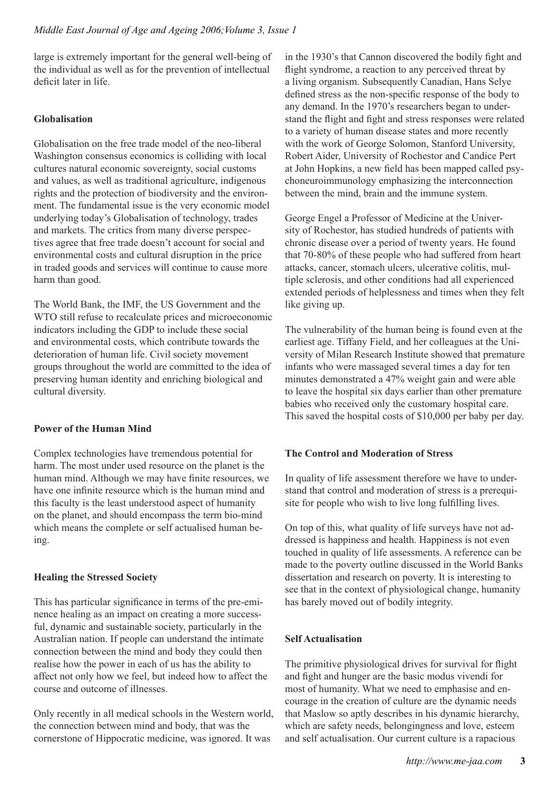large is extremely important for the general well-being of the individual as well as for the prevention of intellectual deficit later in life.

#### **Globalisation**

Globalisation on the free trade model of the neo-liberal Washington consensus economics is colliding with local cultures natural economic sovereignty, social customs and values, as well as traditional agriculture, indigenous rights and the protection of biodiversity and the environment. The fundamental issue is the very economic model underlying today's Globalisation of technology, trades and markets. The critics from many diverse perspectives agree that free trade doesn't account for social and environmental costs and cultural disruption in the price in traded goods and services will continue to cause more harm than good.

The World Bank, the IMF, the US Government and the WTO still refuse to recalculate prices and microeconomic indicators including the GDP to include these social and environmental costs, which contribute towards the deterioration of human life. Civil society movement groups throughout the world are committed to the idea of preserving human identity and enriching biological and cultural diversity.

#### **Power of the Human Mind**

Complex technologies have tremendous potential for harm. The most under used resource on the planet is the human mind. Although we may have finite resources, we have one infinite resource which is the human mind and this faculty is the least understood aspect of humanity on the planet, and should encompass the term bio-mind which means the complete or self actualised human being.

## **Healing the Stressed Society**

This has particular significance in terms of the pre-eminence healing as an impact on creating a more successful, dynamic and sustainable society, particularly in the Australian nation. If people can understand the intimate connection between the mind and body they could then realise how the power in each of us has the ability to affect not only how we feel, but indeed how to affect the course and outcome of illnesses.

Only recently in all medical schools in the Western world, the connection between mind and body, that was the cornerstone of Hippocratic medicine, was ignored. It was

in the 1930's that Cannon discovered the bodily fight and flight syndrome, a reaction to any perceived threat by a living organism. Subsequently Canadian, Hans Selye defined stress as the non-specific response of the body to any demand. In the 1970's researchers began to understand the flight and fight and stress responses were related to a variety of human disease states and more recently with the work of George Solomon, Stanford University, Robert Aider, University of Rochestor and Candice Pert at John Hopkins, a new field has been mapped called psychoneuroimmunology emphasizing the interconnection between the mind, brain and the immune system.

George Engel a Professor of Medicine at the University of Rochestor, has studied hundreds of patients with chronic disease over a period of twenty years. He found that 70-80% of these people who had suffered from heart attacks, cancer, stomach ulcers, ulcerative colitis, multiple sclerosis, and other conditions had all experienced extended periods of helplessness and times when they felt like giving up.

The vulnerability of the human being is found even at the earliest age. Tiffany Field, and her colleagues at the University of Milan Research Institute showed that premature infants who were massaged several times a day for ten minutes demonstrated a 47% weight gain and were able to leave the hospital six days earlier than other premature babies who received only the customary hospital care. This saved the hospital costs of \$10,000 per baby per day.

## **The Control and Moderation of Stress**

In quality of life assessment therefore we have to understand that control and moderation of stress is a prerequisite for people who wish to live long fulfilling lives.

On top of this, what quality of life surveys have not addressed is happiness and health. Happiness is not even touched in quality of life assessments. A reference can be made to the poverty outline discussed in the World Banks dissertation and research on poverty. It is interesting to see that in the context of physiological change, humanity has barely moved out of bodily integrity.

#### **Self Actualisation**

The primitive physiological drives for survival for flight and fight and hunger are the basic modus vivendi for most of humanity. What we need to emphasise and encourage in the creation of culture are the dynamic needs that Maslow so aptly describes in his dynamic hierarchy, which are safety needs, belongingness and love, esteem and self actualisation. Our current culture is a rapacious